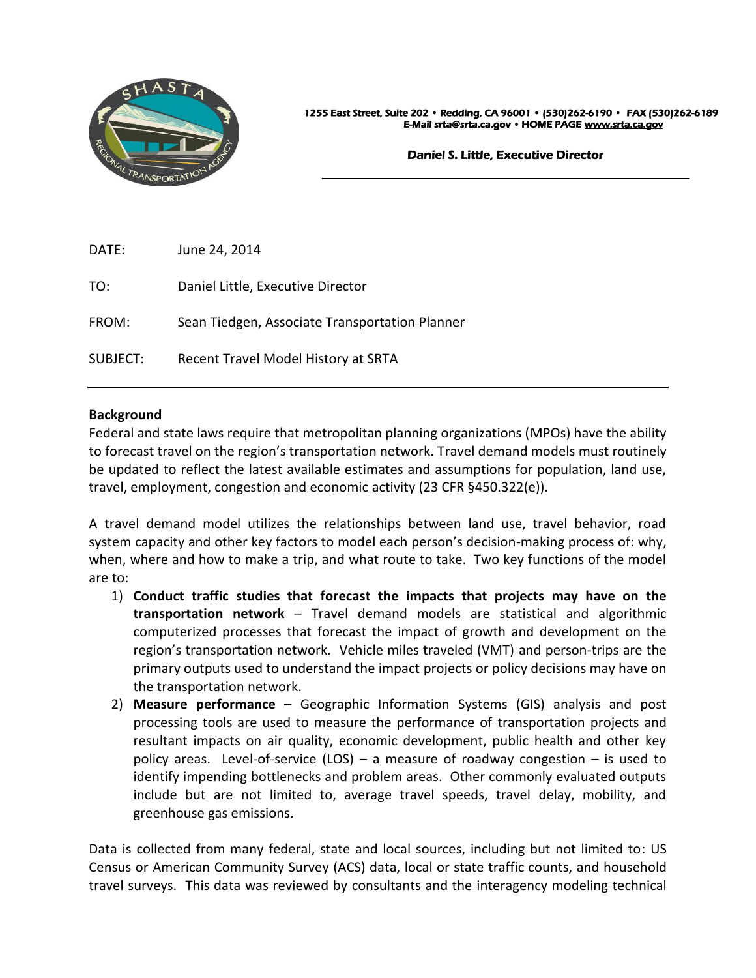

1255 East Street, Suite 202 • Redding, CA 96001 • (530)262-6190 •FAX (530)262-6189 E-Mail srta@srta.ca.gov • HOME PAG[E www.srta.ca.gov](http://www.srta.ca.gov/) 

#### Daniel S. Little, Executive Director

 $\overline{a}$ 

| DATE:    | June 24, 2014                                  |
|----------|------------------------------------------------|
| TO:      | Daniel Little, Executive Director              |
| FROM:    | Sean Tiedgen, Associate Transportation Planner |
| SUBJECT: | Recent Travel Model History at SRTA            |

#### **Background**

Federal and state laws require that metropolitan planning organizations (MPOs) have the ability to forecast travel on the region's transportation network. Travel demand models must routinely be updated to reflect the latest available estimates and assumptions for population, land use, travel, employment, congestion and economic activity (23 CFR §450.322(e)).

A travel demand model utilizes the relationships between land use, travel behavior, road system capacity and other key factors to model each person's decision-making process of: why, when, where and how to make a trip, and what route to take. Two key functions of the model are to:

- 1) **Conduct traffic studies that forecast the impacts that projects may have on the transportation network** – Travel demand models are statistical and algorithmic computerized processes that forecast the impact of growth and development on the region's transportation network. Vehicle miles traveled (VMT) and person-trips are the primary outputs used to understand the impact projects or policy decisions may have on the transportation network.
- 2) **Measure performance** Geographic Information Systems (GIS) analysis and post processing tools are used to measure the performance of transportation projects and resultant impacts on air quality, economic development, public health and other key policy areas. Level-of-service (LOS) – a measure of roadway congestion – is used to identify impending bottlenecks and problem areas. Other commonly evaluated outputs include but are not limited to, average travel speeds, travel delay, mobility, and greenhouse gas emissions.

Data is collected from many federal, state and local sources, including but not limited to: US Census or American Community Survey (ACS) data, local or state traffic counts, and household travel surveys. This data was reviewed by consultants and the interagency modeling technical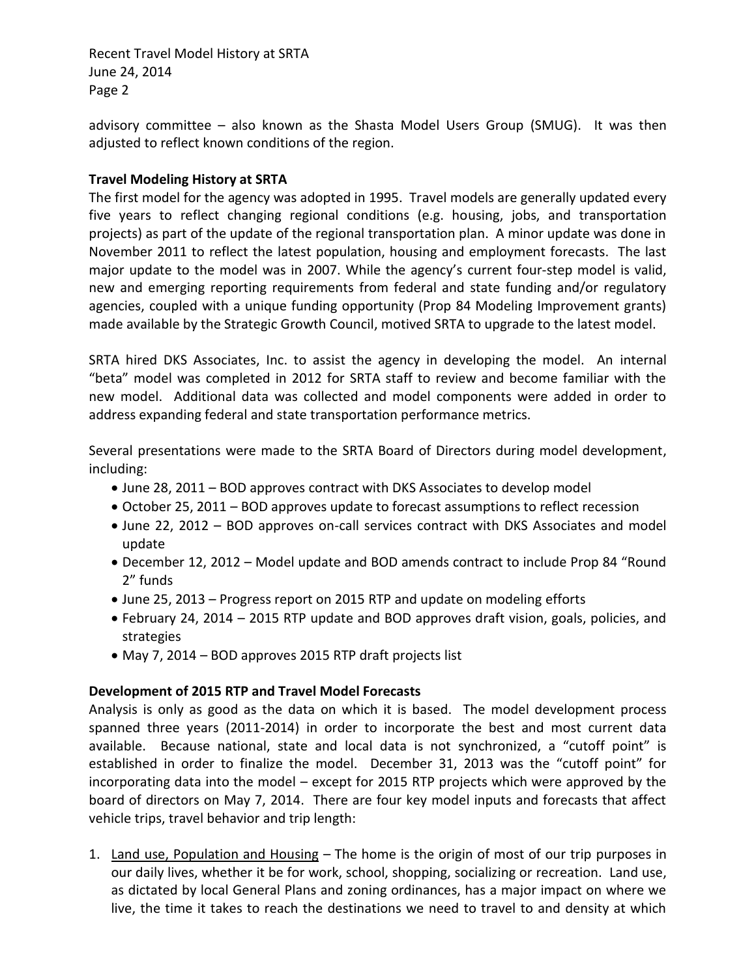Recent Travel Model History at SRTA June 24, 2014 Page 2

advisory committee – also known as the Shasta Model Users Group (SMUG). It was then adjusted to reflect known conditions of the region.

#### **Travel Modeling History at SRTA**

The first model for the agency was adopted in 1995. Travel models are generally updated every five years to reflect changing regional conditions (e.g. housing, jobs, and transportation projects) as part of the update of the regional transportation plan. A minor update was done in November 2011 to reflect the latest population, housing and employment forecasts. The last major update to the model was in 2007. While the agency's current four-step model is valid, new and emerging reporting requirements from federal and state funding and/or regulatory agencies, coupled with a unique funding opportunity (Prop 84 Modeling Improvement grants) made available by the Strategic Growth Council, motived SRTA to upgrade to the latest model.

SRTA hired DKS Associates, Inc. to assist the agency in developing the model. An internal "beta" model was completed in 2012 for SRTA staff to review and become familiar with the new model. Additional data was collected and model components were added in order to address expanding federal and state transportation performance metrics.

Several presentations were made to the SRTA Board of Directors during model development, including:

- June 28, 2011 BOD approves contract with DKS Associates to develop model
- October 25, 2011 BOD approves update to forecast assumptions to reflect recession
- June 22, 2012 BOD approves on-call services contract with DKS Associates and model update
- December 12, 2012 Model update and BOD amends contract to include Prop 84 "Round 2" funds
- June 25, 2013 Progress report on 2015 RTP and update on modeling efforts
- February 24, 2014 2015 RTP update and BOD approves draft vision, goals, policies, and strategies
- May 7, 2014 BOD approves 2015 RTP draft projects list

# **Development of 2015 RTP and Travel Model Forecasts**

Analysis is only as good as the data on which it is based. The model development process spanned three years (2011-2014) in order to incorporate the best and most current data available. Because national, state and local data is not synchronized, a "cutoff point" is established in order to finalize the model. December 31, 2013 was the "cutoff point" for incorporating data into the model – except for 2015 RTP projects which were approved by the board of directors on May 7, 2014. There are four key model inputs and forecasts that affect vehicle trips, travel behavior and trip length:

1. Land use, Population and Housing - The home is the origin of most of our trip purposes in our daily lives, whether it be for work, school, shopping, socializing or recreation. Land use, as dictated by local General Plans and zoning ordinances, has a major impact on where we live, the time it takes to reach the destinations we need to travel to and density at which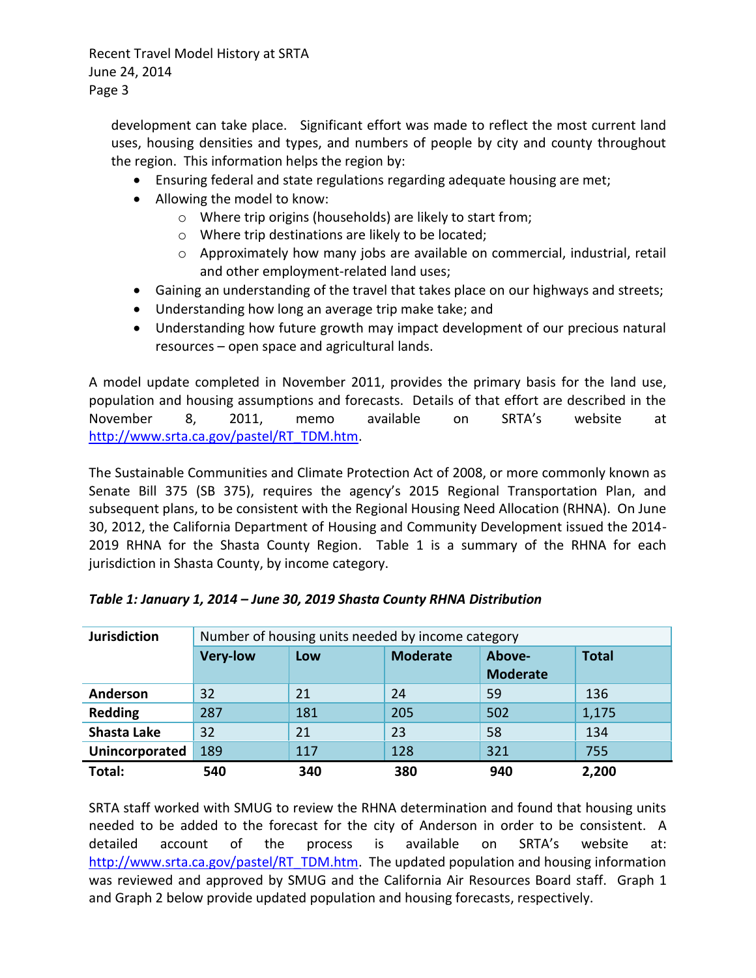Recent Travel Model History at SRTA June 24, 2014 Page 3

development can take place. Significant effort was made to reflect the most current land uses, housing densities and types, and numbers of people by city and county throughout the region. This information helps the region by:

- Ensuring federal and state regulations regarding adequate housing are met;
- Allowing the model to know:
	- o Where trip origins (households) are likely to start from;
	- o Where trip destinations are likely to be located;
	- o Approximately how many jobs are available on commercial, industrial, retail and other employment-related land uses;
- Gaining an understanding of the travel that takes place on our highways and streets;
- Understanding how long an average trip make take; and
- Understanding how future growth may impact development of our precious natural resources – open space and agricultural lands.

A model update completed in November 2011, provides the primary basis for the land use, population and housing assumptions and forecasts. Details of that effort are described in the November 8, 2011, memo available on SRTA's website at [http://www.srta.ca.gov/pastel/RT\\_TDM.htm.](http://www.srta.ca.gov/pastel/RT_TDM.htm)

The Sustainable Communities and Climate Protection Act of 2008, or more commonly known as Senate Bill 375 (SB 375), requires the agency's 2015 Regional Transportation Plan, and subsequent plans, to be consistent with the Regional Housing Need Allocation (RHNA). On June 30, 2012, the California Department of Housing and Community Development issued the 2014- 2019 RHNA for the Shasta County Region. Table 1 is a summary of the RHNA for each jurisdiction in Shasta County, by income category.

| <b>Jurisdiction</b> | Number of housing units needed by income category |     |                 |                           |              |  |
|---------------------|---------------------------------------------------|-----|-----------------|---------------------------|--------------|--|
|                     | <b>Very-low</b>                                   | Low | <b>Moderate</b> | Above-<br><b>Moderate</b> | <b>Total</b> |  |
| Anderson            | 32                                                | 21  | 24              | 59                        | 136          |  |
| <b>Redding</b>      | 287                                               | 181 | 205             | 502                       | 1,175        |  |
| <b>Shasta Lake</b>  | 32                                                | 21  | 23              | 58                        | 134          |  |
| Unincorporated      | 189                                               | 117 | 128             | 321                       | 755          |  |
| Total:              | 540                                               | 340 | 380             | 940                       | 2,200        |  |

| Table 1: January 1, 2014 - June 30, 2019 Shasta County RHNA Distribution |  |  |
|--------------------------------------------------------------------------|--|--|
|                                                                          |  |  |

SRTA staff worked with SMUG to review the RHNA determination and found that housing units needed to be added to the forecast for the city of Anderson in order to be consistent. A detailed account of the process is available on SRTA's website at: [http://www.srta.ca.gov/pastel/RT\\_TDM.htm.](http://www.srta.ca.gov/pastel/RT_TDM.htm) The updated population and housing information was reviewed and approved by SMUG and the California Air Resources Board staff. Graph 1 and Graph 2 below provide updated population and housing forecasts, respectively.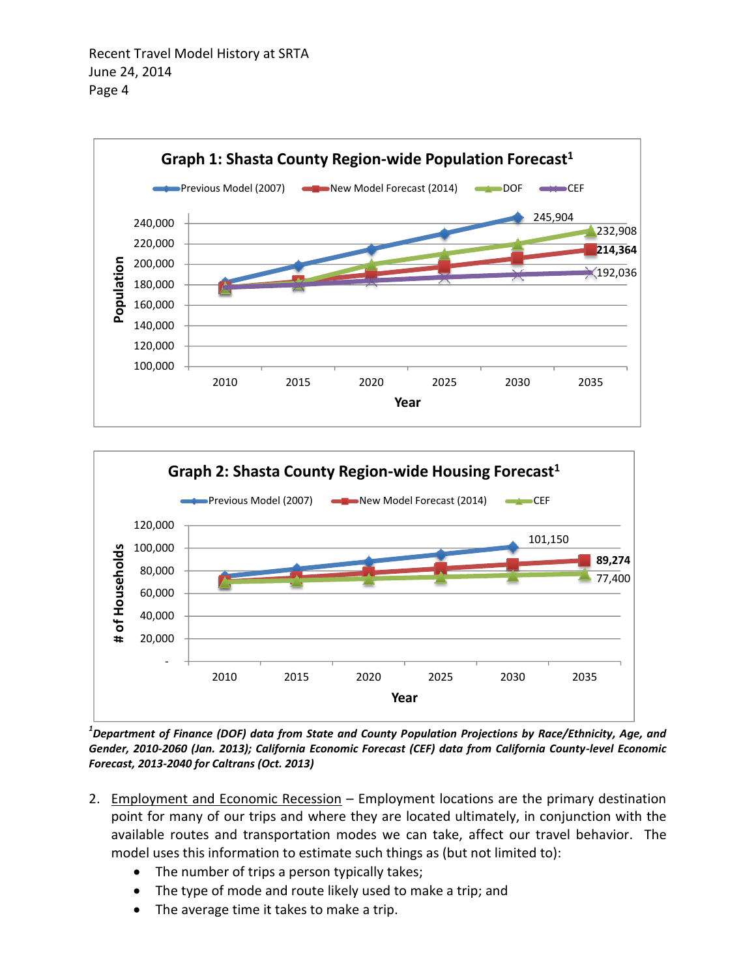



*1 Department of Finance (DOF) data from State and County Population Projections by Race/Ethnicity, Age, and Gender, 2010-2060 (Jan. 2013); California Economic Forecast (CEF) data from California County-level Economic Forecast, 2013-2040 for Caltrans (Oct. 2013)*

- 2. Employment and Economic Recession Employment locations are the primary destination point for many of our trips and where they are located ultimately, in conjunction with the available routes and transportation modes we can take, affect our travel behavior. The model uses this information to estimate such things as (but not limited to):
	- The number of trips a person typically takes;
	- The type of mode and route likely used to make a trip; and
	- The average time it takes to make a trip.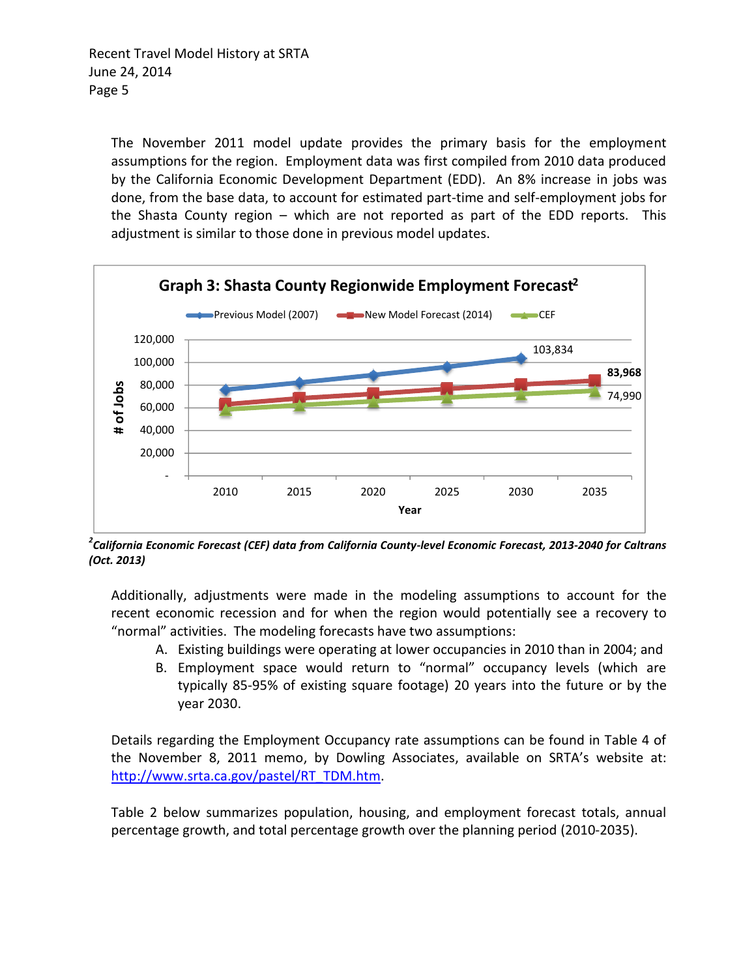The November 2011 model update provides the primary basis for the employment assumptions for the region. Employment data was first compiled from 2010 data produced by the California Economic Development Department (EDD). An 8% increase in jobs was done, from the base data, to account for estimated part-time and self-employment jobs for the Shasta County region – which are not reported as part of the EDD reports. This adjustment is similar to those done in previous model updates.



*2 California Economic Forecast (CEF) data from California County-level Economic Forecast, 2013-2040 for Caltrans (Oct. 2013)*

Additionally, adjustments were made in the modeling assumptions to account for the recent economic recession and for when the region would potentially see a recovery to "normal" activities. The modeling forecasts have two assumptions:

- A. Existing buildings were operating at lower occupancies in 2010 than in 2004; and
- B. Employment space would return to "normal" occupancy levels (which are typically 85-95% of existing square footage) 20 years into the future or by the year 2030.

Details regarding the Employment Occupancy rate assumptions can be found in Table 4 of the November 8, 2011 memo, by Dowling Associates, available on SRTA's website at: [http://www.srta.ca.gov/pastel/RT\\_TDM.htm.](http://www.srta.ca.gov/pastel/RT_TDM.htm)

Table 2 below summarizes population, housing, and employment forecast totals, annual percentage growth, and total percentage growth over the planning period (2010-2035).